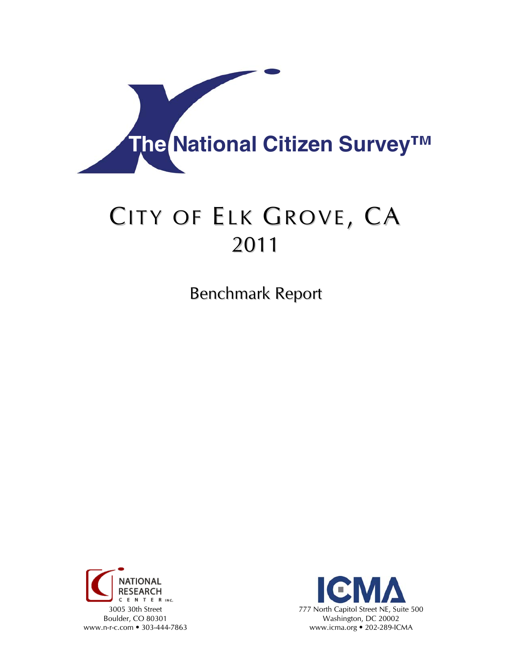

# CITY OF ELK GROVE, CA 2011

Benchmark Report



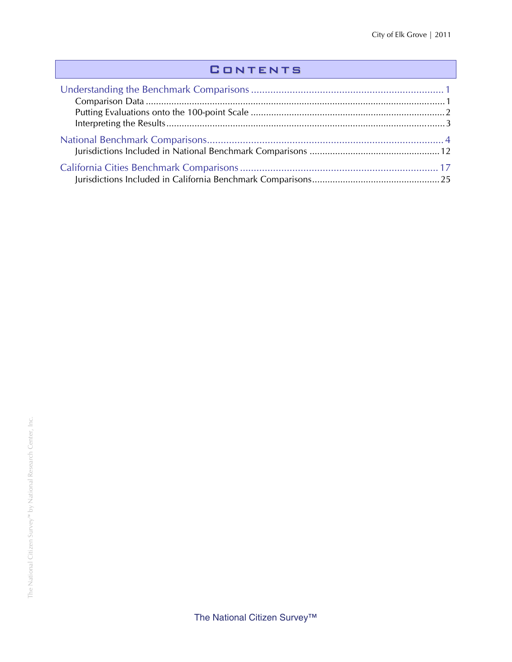## **CONTENTS**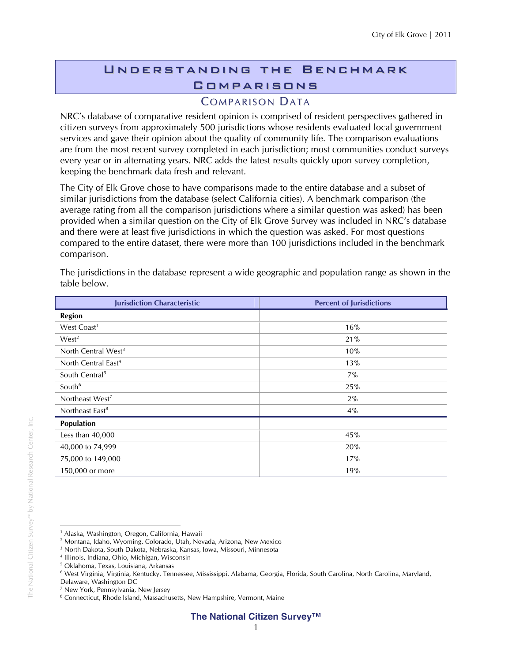## Understanding the Benchmark **COMPARISONS**

## **COMPARISON DATA**

NRC's database of comparative resident opinion is comprised of resident perspectives gathered in citizen surveys from approximately 500 jurisdictions whose residents evaluated local government services and gave their opinion about the quality of community life. The comparison evaluations are from the most recent survey completed in each jurisdiction; most communities conduct surveys every year or in alternating years. NRC adds the latest results quickly upon survey completion, keeping the benchmark data fresh and relevant.

The City of Elk Grove chose to have comparisons made to the entire database and a subset of similar jurisdictions from the database (select California cities). A benchmark comparison (the average rating from all the comparison jurisdictions where a similar question was asked) has been provided when a similar question on the City of Elk Grove Survey was included in NRC's database and there were at least five jurisdictions in which the question was asked. For most questions compared to the entire dataset, there were more than 100 jurisdictions included in the benchmark comparison.

| <b>Jurisdiction Characteristic</b> | <b>Percent of Jurisdictions</b> |
|------------------------------------|---------------------------------|
| <b>Region</b>                      |                                 |
| West Coast <sup>1</sup>            | 16%                             |
| West <sup>2</sup>                  | 21%                             |
| North Central West <sup>3</sup>    | 10%                             |
| North Central East <sup>4</sup>    | 13%                             |
| South Central <sup>5</sup>         | 7%                              |
| South <sup>6</sup>                 | 25%                             |
| Northeast West <sup>7</sup>        | 2%                              |
| Northeast East <sup>8</sup>        | 4%                              |
| Population                         |                                 |
| Less than 40,000                   | 45%                             |
| 40,000 to 74,999                   | 20%                             |
| 75,000 to 149,000                  | 17%                             |
| 150,000 or more                    | 19%                             |

The jurisdictions in the database represent a wide geographic and population range as shown in the table below.

 $\overline{a}$ <sup>1</sup> Alaska, Washington, Oregon, California, Hawaii

<sup>2</sup> Montana, Idaho, Wyoming, Colorado, Utah, Nevada, Arizona, New Mexico

<sup>3</sup> North Dakota, South Dakota, Nebraska, Kansas, Iowa, Missouri, Minnesota

<sup>4</sup> Illinois, Indiana, Ohio, Michigan, Wisconsin

<sup>5</sup> Oklahoma, Texas, Louisiana, Arkansas

<sup>6</sup> West Virginia, Virginia, Kentucky, Tennessee, Mississippi, Alabama, Georgia, Florida, South Carolina, North Carolina, Maryland,

Delaware, Washington DC

<sup>7</sup> New York, Pennsylvania, New Jersey

<sup>&</sup>lt;sup>8</sup> Connecticut, Rhode Island, Massachusetts, New Hampshire, Vermont, Maine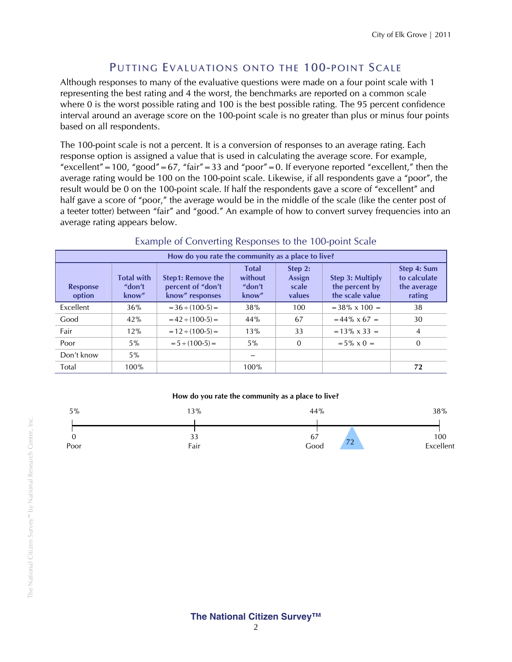## PUTTING EVALUATIONS ONTO THE 100-POINT SCALE

Although responses to many of the evaluative questions were made on a four point scale with 1 representing the best rating and 4 the worst, the benchmarks are reported on a common scale where 0 is the worst possible rating and 100 is the best possible rating. The 95 percent confidence interval around an average score on the 100-point scale is no greater than plus or minus four points based on all respondents.

The 100-point scale is not a percent. It is a conversion of responses to an average rating. Each response option is assigned a value that is used in calculating the average score. For example, "excellent" = 100, "good" = 67, "fair" = 33 and "poor" = 0. If everyone reported "excellent," then the average rating would be 100 on the 100-point scale. Likewise, if all respondents gave a "poor", the result would be 0 on the 100-point scale. If half the respondents gave a score of "excellent" and half gave a score of "poor," the average would be in the middle of the scale (like the center post of a teeter totter) between "fair" and "good." An example of how to convert survey frequencies into an average rating appears below.

| How do you rate the community as a place to live? |                                      |                                                                  |                                            |                                      |                                                       |                                                      |  |  |
|---------------------------------------------------|--------------------------------------|------------------------------------------------------------------|--------------------------------------------|--------------------------------------|-------------------------------------------------------|------------------------------------------------------|--|--|
| <b>Response</b><br>option                         | <b>Total with</b><br>"don't<br>know" | <b>Step1: Remove the</b><br>percent of "don't<br>know" responses | <b>Total</b><br>without<br>"don't<br>know" | Step 2:<br>Assign<br>scale<br>values | Step 3: Multiply<br>the percent by<br>the scale value | Step 4: Sum<br>to calculate<br>the average<br>rating |  |  |
| Excellent                                         | 36%                                  | $=$ 36 $\div$ (100-5) $=$                                        | 38%                                        | 100                                  | $=$ 38% x 100 $=$                                     | 38                                                   |  |  |
| Good                                              | 42%                                  | $= 42 \div (100-5) =$                                            | 44%                                        | 67                                   | $= 44\% \times 67 =$                                  | 30                                                   |  |  |
| Fair                                              | 12%                                  | $= 12 \div (100-5) =$                                            | 13%                                        | 33                                   | $= 13\% \times 33 =$                                  | $\overline{4}$                                       |  |  |
| Poor                                              | $5\%$                                | $= 5 \div (100-5) =$                                             | $5\%$                                      | $\overline{0}$                       | $= 5\% \times 0 =$                                    | $\Omega$                                             |  |  |
| Don't know                                        | $5\%$                                |                                                                  |                                            |                                      |                                                       |                                                      |  |  |
| Total                                             | 100%                                 |                                                                  | 100%                                       |                                      |                                                       | 72                                                   |  |  |

## Example of Converting Responses to the 100-point Scale

#### **How do you rate the community as a place to live?**

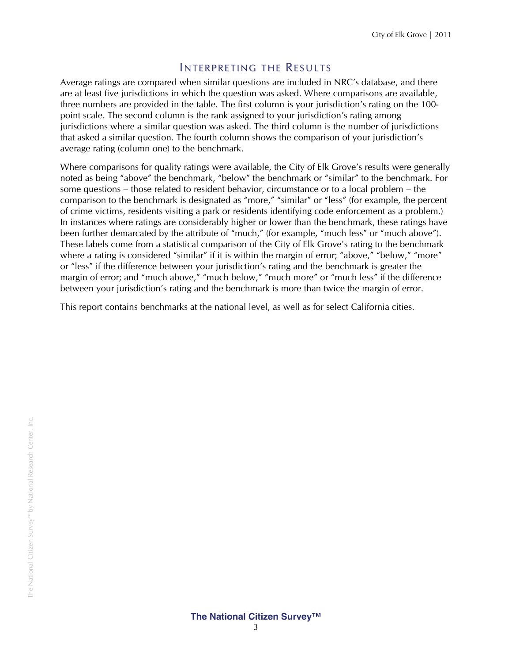#### INTERPRETING THE RESULTS

Average ratings are compared when similar questions are included in NRC's database, and there are at least five jurisdictions in which the question was asked. Where comparisons are available, three numbers are provided in the table. The first column is your jurisdiction's rating on the 100 point scale. The second column is the rank assigned to your jurisdiction's rating among jurisdictions where a similar question was asked. The third column is the number of jurisdictions that asked a similar question. The fourth column shows the comparison of your jurisdiction's average rating (column one) to the benchmark.

Where comparisons for quality ratings were available, the City of Elk Grove's results were generally noted as being "above" the benchmark, "below" the benchmark or "similar" to the benchmark. For some questions – those related to resident behavior, circumstance or to a local problem – the comparison to the benchmark is designated as "more," "similar" or "less" (for example, the percent of crime victims, residents visiting a park or residents identifying code enforcement as a problem.) In instances where ratings are considerably higher or lower than the benchmark, these ratings have been further demarcated by the attribute of "much," (for example, "much less" or "much above"). These labels come from a statistical comparison of the City of Elk Grove's rating to the benchmark where a rating is considered "similar" if it is within the margin of error; "above," "below," "more" or "less" if the difference between your jurisdiction's rating and the benchmark is greater the margin of error; and "much above," "much below," "much more" or "much less" if the difference between your jurisdiction's rating and the benchmark is more than twice the margin of error.

This report contains benchmarks at the national level, as well as for select California cities.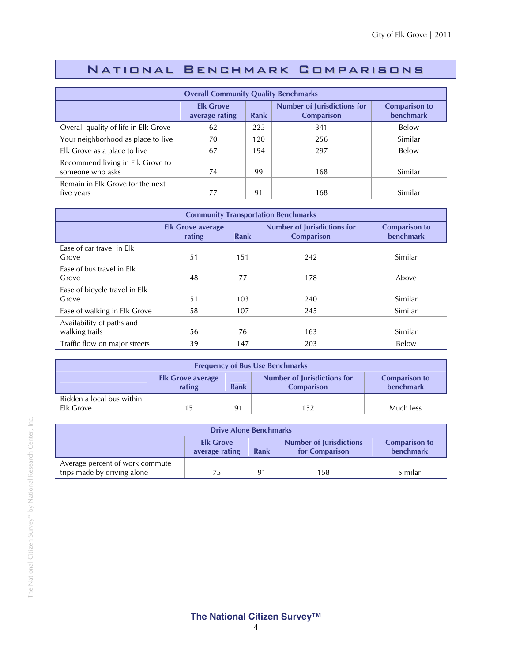## National Benchmark Comparisons

| <b>Overall Community Quality Benchmarks</b>                                                                                                       |    |     |     |         |  |  |
|---------------------------------------------------------------------------------------------------------------------------------------------------|----|-----|-----|---------|--|--|
| <b>Number of Jurisdictions for</b><br><b>Elk Grove</b><br><b>Comparison to</b><br><b>benchmark</b><br>Rank<br><b>Comparison</b><br>average rating |    |     |     |         |  |  |
| Overall quality of life in Elk Grove                                                                                                              | 62 | 225 | 341 | Below   |  |  |
| Your neighborhood as place to live                                                                                                                | 70 | 120 | 256 | Similar |  |  |
| Elk Grove as a place to live                                                                                                                      | 67 | 194 | 297 | Below   |  |  |
| Recommend living in Elk Grove to<br>someone who asks                                                                                              | 74 | 99  | 168 | Similar |  |  |
| Remain in Elk Grove for the next<br>five years                                                                                                    | 77 | 91  | 168 | Similar |  |  |

| <b>Community Transportation Benchmarks</b>  |                                    |      |                                                         |                                          |  |  |
|---------------------------------------------|------------------------------------|------|---------------------------------------------------------|------------------------------------------|--|--|
|                                             | <b>Elk Grove average</b><br>rating | Rank | <b>Number of Jurisdictions for</b><br><b>Comparison</b> | <b>Comparison to</b><br><b>benchmark</b> |  |  |
| Ease of car travel in Elk<br>Grove          | 51                                 | 151  | 242                                                     | Similar                                  |  |  |
| Ease of bus travel in Elk<br>Grove          | 48                                 | 77   | 178                                                     | Above                                    |  |  |
| Ease of bicycle travel in Elk<br>Grove      | 51                                 | 103  | 240                                                     | Similar                                  |  |  |
| Ease of walking in Elk Grove                | 58                                 | 107  | 245                                                     | Similar                                  |  |  |
| Availability of paths and<br>walking trails | 56                                 | 76   | 163                                                     | Similar                                  |  |  |
| Traffic flow on major streets               | 39                                 | 147  | 203                                                     | Below                                    |  |  |

| <b>Frequency of Bus Use Benchmarks</b>                                                                                                     |    |    |     |           |  |  |
|--------------------------------------------------------------------------------------------------------------------------------------------|----|----|-----|-----------|--|--|
| <b>Number of Jurisdictions for</b><br><b>Comparison to</b><br><b>Elk Grove average</b><br>benchmark<br>rating<br>Rank<br><b>Comparison</b> |    |    |     |           |  |  |
| Ridden a local bus within<br>Elk Grove                                                                                                     | 15 | 91 | 152 | Much less |  |  |

| <b>Drive Alone Benchmarks</b>                                                                                                       |    |    |     |         |  |  |
|-------------------------------------------------------------------------------------------------------------------------------------|----|----|-----|---------|--|--|
| <b>Number of Jurisdictions</b><br><b>Elk Grove</b><br><b>Comparison to</b><br>benchmark<br>Rank<br>for Comparison<br>average rating |    |    |     |         |  |  |
| Average percent of work commute<br>trips made by driving alone                                                                      | 75 | 91 | 158 | Similar |  |  |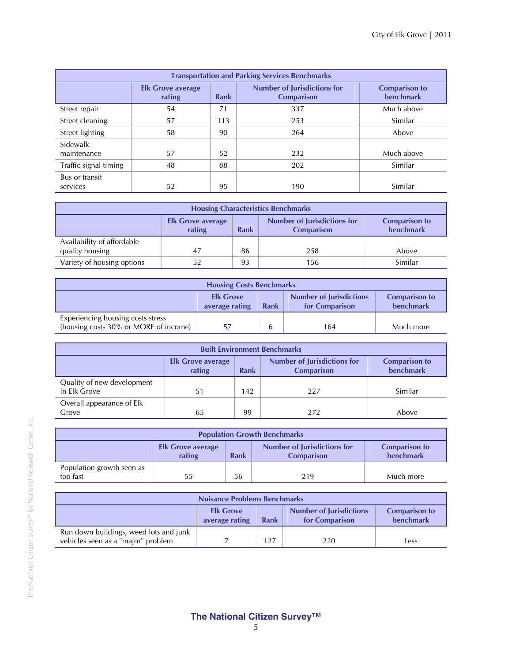| <b>Transportation and Parking Services Benchmarks</b> |                                    |      |                                                         |                                          |  |  |  |
|-------------------------------------------------------|------------------------------------|------|---------------------------------------------------------|------------------------------------------|--|--|--|
|                                                       | <b>Elk Grove average</b><br>rating | Rank | <b>Number of Jurisdictions for</b><br><b>Comparison</b> | <b>Comparison to</b><br><b>benchmark</b> |  |  |  |
| Street repair                                         | 54                                 | 71   | 337                                                     | Much above                               |  |  |  |
| Street cleaning                                       | 57                                 | 113  | 253                                                     | Similar                                  |  |  |  |
| Street lighting                                       | 58                                 | 90   | 264                                                     | Above                                    |  |  |  |
| Sidewalk<br>maintenance                               | 57                                 | 52   | 232                                                     | Much above                               |  |  |  |
| Traffic signal timing                                 | 48                                 | 88   | 202                                                     | Similar                                  |  |  |  |
| Bus or transit<br>services                            | 52                                 | 95   | 190                                                     | Similar                                  |  |  |  |

| <b>Housing Characteristics Benchmarks</b>                                                                                                         |    |    |     |         |  |  |
|---------------------------------------------------------------------------------------------------------------------------------------------------|----|----|-----|---------|--|--|
| <b>Number of Jurisdictions for</b><br><b>Comparison to</b><br><b>Elk Grove average</b><br><b>benchmark</b><br>rating<br>Rank<br><b>Comparison</b> |    |    |     |         |  |  |
| Availability of affordable<br>quality housing                                                                                                     | 47 | 86 | 258 | Above   |  |  |
| Variety of housing options                                                                                                                        | 52 | 93 | 56  | Similar |  |  |

| <b>Housing Costs Benchmarks</b>                                                                                                     |    |              |     |           |  |
|-------------------------------------------------------------------------------------------------------------------------------------|----|--------------|-----|-----------|--|
| <b>Number of Jurisdictions</b><br><b>Elk Grove</b><br><b>Comparison to</b><br>benchmark<br>Rank<br>average rating<br>for Comparison |    |              |     |           |  |
| Experiencing housing costs stress<br>(housing costs 30% or MORE of income)                                                          | 57 | $\mathbf{b}$ | 164 | Much more |  |

| <b>Built Environment Benchmarks</b>                                                                                                               |    |     |     |         |  |  |
|---------------------------------------------------------------------------------------------------------------------------------------------------|----|-----|-----|---------|--|--|
| <b>Number of Jurisdictions for</b><br><b>Comparison to</b><br><b>Elk Grove average</b><br><b>benchmark</b><br>rating<br>Rank<br><b>Comparison</b> |    |     |     |         |  |  |
| Quality of new development<br>in Elk Grove                                                                                                        | 51 | 142 | 227 | Similar |  |  |
| Overall appearance of Elk<br>Grove                                                                                                                | 65 | 99  | 272 | Above   |  |  |

| <b>Population Growth Benchmarks</b>                                                                                                 |    |    |     |           |  |  |
|-------------------------------------------------------------------------------------------------------------------------------------|----|----|-----|-----------|--|--|
| Number of Jurisdictions for<br><b>Comparison to</b><br><b>Elk Grove average</b><br>benchmark<br>rating<br>Rank<br><b>Comparison</b> |    |    |     |           |  |  |
| Population growth seen as<br>too fast                                                                                               | 55 | 56 | 219 | Much more |  |  |

| <b>Nuisance Problems Benchmarks</b>                                          |                                                                                                                                     |     |     |      |  |  |
|------------------------------------------------------------------------------|-------------------------------------------------------------------------------------------------------------------------------------|-----|-----|------|--|--|
|                                                                              | <b>Number of Jurisdictions</b><br><b>Comparison to</b><br><b>Elk Grove</b><br>benchmark<br>average rating<br>for Comparison<br>Rank |     |     |      |  |  |
| Run down buildings, weed lots and junk<br>vehicles seen as a "major" problem |                                                                                                                                     | 127 | 220 | Less |  |  |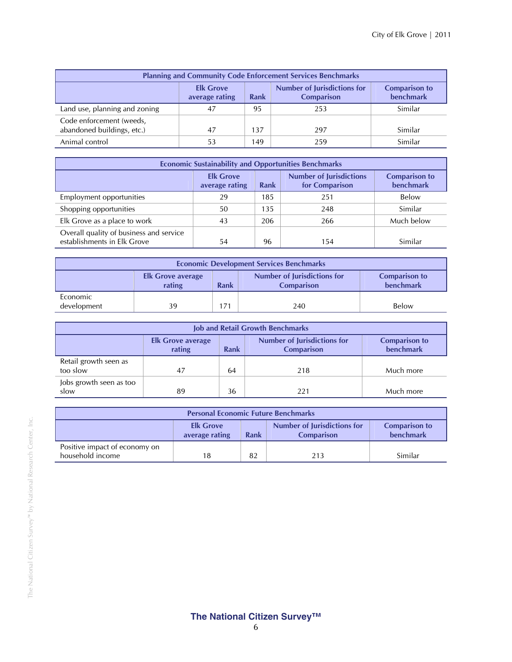| <b>Planning and Community Code Enforcement Services Benchmarks</b>                                                                         |    |     |     |         |  |  |
|--------------------------------------------------------------------------------------------------------------------------------------------|----|-----|-----|---------|--|--|
| <b>Number of Jurisdictions for</b><br><b>Comparison to</b><br><b>Elk Grove</b><br>benchmark<br>Rank<br><b>Comparison</b><br>average rating |    |     |     |         |  |  |
| Land use, planning and zoning                                                                                                              | 47 | 95  | 253 | Similar |  |  |
| Code enforcement (weeds,<br>abandoned buildings, etc.)                                                                                     | 47 | 137 | 297 | Similar |  |  |
| Animal control                                                                                                                             | 53 | 149 | 259 | Similar |  |  |

| <b>Economic Sustainability and Opportunities Benchmarks</b>                                                                         |    |     |     |            |  |  |
|-------------------------------------------------------------------------------------------------------------------------------------|----|-----|-----|------------|--|--|
| <b>Number of Jurisdictions</b><br><b>Elk Grove</b><br><b>Comparison to</b><br>benchmark<br>for Comparison<br>average rating<br>Rank |    |     |     |            |  |  |
| Employment opportunities                                                                                                            | 29 | 185 | 251 | Below      |  |  |
| Shopping opportunities                                                                                                              | 50 | 135 | 248 | Similar    |  |  |
| Elk Grove as a place to work                                                                                                        | 43 | 206 | 266 | Much below |  |  |
| Overall quality of business and service<br>establishments in Elk Grove                                                              | 54 | 96  | 154 | Similar    |  |  |

| <b>Economic Development Services Benchmarks</b> |                                                                                                                                            |     |     |       |  |  |  |
|-------------------------------------------------|--------------------------------------------------------------------------------------------------------------------------------------------|-----|-----|-------|--|--|--|
|                                                 | <b>Number of Jurisdictions for</b><br><b>Comparison to</b><br><b>Elk Grove average</b><br>benchmark<br>rating<br>Rank<br><b>Comparison</b> |     |     |       |  |  |  |
| Economic<br>development                         | 39                                                                                                                                         | 171 | 240 | Below |  |  |  |

| <b>Job and Retail Growth Benchmarks</b> |                                                                                                                                                   |    |     |           |  |  |  |  |
|-----------------------------------------|---------------------------------------------------------------------------------------------------------------------------------------------------|----|-----|-----------|--|--|--|--|
|                                         | <b>Number of Jurisdictions for</b><br><b>Comparison to</b><br><b>Elk Grove average</b><br>benchmark<br>rating<br><b>Comparison</b><br><b>Rank</b> |    |     |           |  |  |  |  |
| Retail growth seen as<br>too slow       | 47                                                                                                                                                | 64 | 218 | Much more |  |  |  |  |
| Jobs growth seen as too<br>slow         | 89                                                                                                                                                | 36 | 221 | Much more |  |  |  |  |

| <b>Personal Economic Future Benchmarks</b>                                                                                          |    |    |     |         |  |  |
|-------------------------------------------------------------------------------------------------------------------------------------|----|----|-----|---------|--|--|
| Number of Jurisdictions for<br><b>Elk Grove</b><br><b>Comparison to</b><br>benchmark<br>average rating<br>Rank<br><b>Comparison</b> |    |    |     |         |  |  |
| Positive impact of economy on<br>household income                                                                                   | 18 | 82 | 213 | Similar |  |  |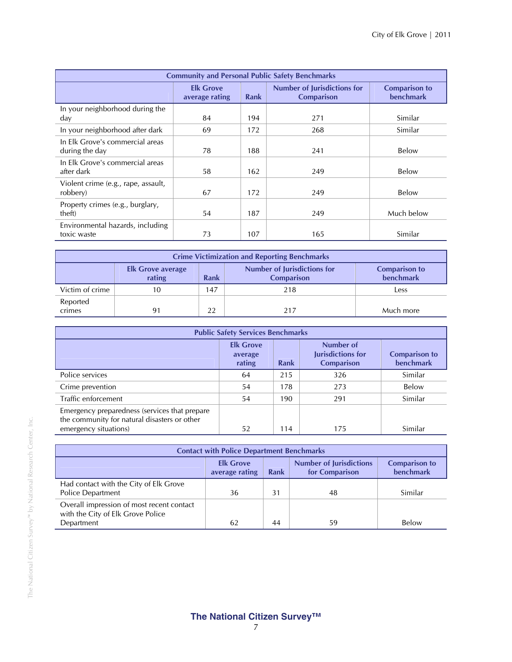| <b>Community and Personal Public Safety Benchmarks</b> |                                    |             |                                                         |                                   |  |  |  |
|--------------------------------------------------------|------------------------------------|-------------|---------------------------------------------------------|-----------------------------------|--|--|--|
|                                                        | <b>Elk Grove</b><br>average rating | <b>Rank</b> | <b>Number of Jurisdictions for</b><br><b>Comparison</b> | <b>Comparison to</b><br>benchmark |  |  |  |
| In your neighborhood during the<br>day                 | 84                                 | 194         | 271                                                     | Similar                           |  |  |  |
| In your neighborhood after dark                        | 69                                 | 172         | 268                                                     | Similar                           |  |  |  |
| In Elk Grove's commercial areas<br>during the day      | 78                                 | 188         | 241                                                     | Below                             |  |  |  |
| In Elk Grove's commercial areas<br>after dark          | 58                                 | 162         | 249                                                     | Below                             |  |  |  |
| Violent crime (e.g., rape, assault,<br>robbery)        | 67                                 | 172         | 249                                                     | Below                             |  |  |  |
| Property crimes (e.g., burglary,<br>theft)             | 54                                 | 187         | 249                                                     | Much below                        |  |  |  |
| Environmental hazards, including<br>toxic waste        | 73                                 | 107         | 165                                                     | Similar                           |  |  |  |

| <b>Crime Victimization and Reporting Benchmarks</b> |                                                                                                                                                   |     |     |           |  |  |  |  |
|-----------------------------------------------------|---------------------------------------------------------------------------------------------------------------------------------------------------|-----|-----|-----------|--|--|--|--|
|                                                     | <b>Number of Jurisdictions for</b><br><b>Comparison to</b><br><b>Elk Grove average</b><br>benchmark<br>rating<br><b>Rank</b><br><b>Comparison</b> |     |     |           |  |  |  |  |
| Victim of crime                                     |                                                                                                                                                   | 147 | 218 | Less      |  |  |  |  |
| Reported<br>crimes                                  | 91                                                                                                                                                | 22  | 217 | Much more |  |  |  |  |

| <b>Public Safety Services Benchmarks</b>                                                                               |                                       |             |                                                            |                                   |  |  |
|------------------------------------------------------------------------------------------------------------------------|---------------------------------------|-------------|------------------------------------------------------------|-----------------------------------|--|--|
|                                                                                                                        | <b>Elk Grove</b><br>average<br>rating | <b>Rank</b> | Number of<br><b>Jurisdictions for</b><br><b>Comparison</b> | <b>Comparison to</b><br>benchmark |  |  |
| Police services                                                                                                        | 64                                    | 215         | 326                                                        | Similar                           |  |  |
| Crime prevention                                                                                                       | 54                                    | 178         | 273                                                        | Below                             |  |  |
| Traffic enforcement                                                                                                    | 54                                    | 190         | 291                                                        | Similar                           |  |  |
| Emergency preparedness (services that prepare<br>the community for natural disasters or other<br>emergency situations) | 52                                    | 114         | 175                                                        | Similar                           |  |  |

| <b>Contact with Police Department Benchmarks</b>                                                                                    |    |    |    |              |  |  |
|-------------------------------------------------------------------------------------------------------------------------------------|----|----|----|--------------|--|--|
| <b>Number of Jurisdictions</b><br><b>Elk Grove</b><br><b>Comparison to</b><br>benchmark<br>for Comparison<br>Rank<br>average rating |    |    |    |              |  |  |
| Had contact with the City of Elk Grove<br><b>Police Department</b>                                                                  | 36 | 31 | 48 | Similar      |  |  |
| Overall impression of most recent contact<br>with the City of Elk Grove Police<br>Department                                        | 62 | 44 | 59 | <b>Below</b> |  |  |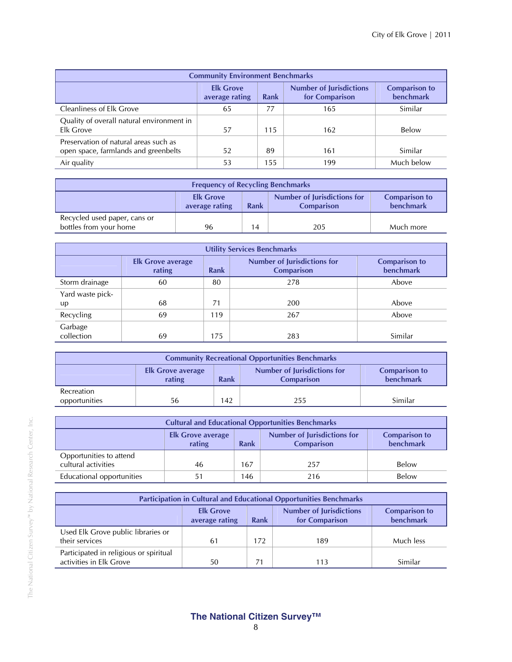| <b>Community Environment Benchmarks</b>                                       |                                                                                                                                     |     |     |            |  |  |  |
|-------------------------------------------------------------------------------|-------------------------------------------------------------------------------------------------------------------------------------|-----|-----|------------|--|--|--|
|                                                                               | <b>Number of Jurisdictions</b><br><b>Elk Grove</b><br><b>Comparison to</b><br>benchmark<br>for Comparison<br>Rank<br>average rating |     |     |            |  |  |  |
| <b>Cleanliness of Elk Grove</b>                                               | 65                                                                                                                                  | 77  | 165 | Similar    |  |  |  |
| Quality of overall natural environment in<br>Elk Grove                        | 57                                                                                                                                  | 115 | 162 | Below      |  |  |  |
| Preservation of natural areas such as<br>open space, farmlands and greenbelts | 52                                                                                                                                  | 89  | 161 | Similar    |  |  |  |
| Air quality                                                                   | 53                                                                                                                                  | 155 | 199 | Much below |  |  |  |

| <b>Frequency of Recycling Benchmarks</b>                                                                                            |    |    |     |           |  |
|-------------------------------------------------------------------------------------------------------------------------------------|----|----|-----|-----------|--|
| Number of Jurisdictions for<br><b>Elk Grove</b><br><b>Comparison to</b><br>benchmark<br>Rank<br>average rating<br><b>Comparison</b> |    |    |     |           |  |
| Recycled used paper, cans or<br>bottles from your home                                                                              | 96 | 14 | 205 | Much more |  |

| <b>Utility Services Benchmarks</b> |                                    |             |                                                         |                                   |  |  |
|------------------------------------|------------------------------------|-------------|---------------------------------------------------------|-----------------------------------|--|--|
|                                    | <b>Elk Grove average</b><br>rating | <b>Rank</b> | <b>Number of Jurisdictions for</b><br><b>Comparison</b> | <b>Comparison to</b><br>benchmark |  |  |
| Storm drainage                     | 60                                 | 80          | 278                                                     | Above                             |  |  |
| Yard waste pick-<br>up             | 68                                 | 71          | 200                                                     | Above                             |  |  |
| Recycling                          | 69                                 | 119         | 267                                                     | Above                             |  |  |
| Garbage<br>collection              | 69                                 | 175         | 283                                                     | Similar                           |  |  |

| <b>Community Recreational Opportunities Benchmarks</b>                                                                                     |    |     |     |         |  |  |
|--------------------------------------------------------------------------------------------------------------------------------------------|----|-----|-----|---------|--|--|
| <b>Number of Jurisdictions for</b><br><b>Comparison to</b><br><b>Elk Grove average</b><br>benchmark<br>rating<br><b>Comparison</b><br>Rank |    |     |     |         |  |  |
| Recreation<br>opportunities                                                                                                                | 56 | 142 | 255 | Similar |  |  |

| <b>Cultural and Educational Opportunities Benchmarks</b>                                                                                          |    |     |     |       |  |  |
|---------------------------------------------------------------------------------------------------------------------------------------------------|----|-----|-----|-------|--|--|
| <b>Number of Jurisdictions for</b><br><b>Comparison to</b><br><b>Elk Grove average</b><br><b>benchmark</b><br>rating<br><b>Comparison</b><br>Rank |    |     |     |       |  |  |
| Opportunities to attend<br>cultural activities                                                                                                    | 46 | 167 | 257 | Below |  |  |
| Educational opportunities                                                                                                                         | 51 | 146 | 216 | Below |  |  |

| <b>Participation in Cultural and Educational Opportunities Benchmarks</b>                                                                         |    |     |     |           |  |
|---------------------------------------------------------------------------------------------------------------------------------------------------|----|-----|-----|-----------|--|
| <b>Number of Jurisdictions</b><br><b>Elk Grove</b><br><b>Comparison to</b><br><b>benchmark</b><br>for Comparison<br><b>Rank</b><br>average rating |    |     |     |           |  |
| Used Elk Grove public libraries or<br>their services                                                                                              | 61 | 172 | 189 | Much less |  |
| Participated in religious or spiritual<br>activities in Elk Grove                                                                                 | 50 |     | 113 | Similar   |  |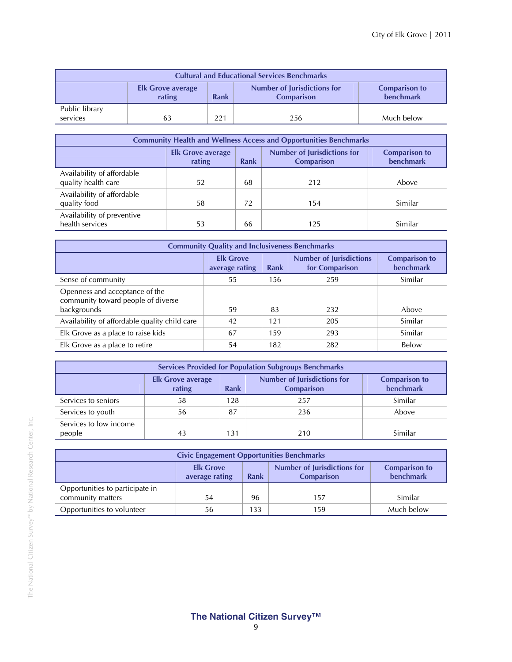| <b>Cultural and Educational Services Benchmarks</b> |                                    |      |                                                         |                                   |  |  |
|-----------------------------------------------------|------------------------------------|------|---------------------------------------------------------|-----------------------------------|--|--|
|                                                     | <b>Elk Grove average</b><br>rating | Rank | <b>Number of Jurisdictions for</b><br><b>Comparison</b> | <b>Comparison to</b><br>benchmark |  |  |
| Public library<br>services                          |                                    | 221  | 256                                                     | Much below                        |  |  |

| <b>Community Health and Wellness Access and Opportunities Benchmarks</b> |                                                                                                                                                   |    |     |         |  |  |
|--------------------------------------------------------------------------|---------------------------------------------------------------------------------------------------------------------------------------------------|----|-----|---------|--|--|
|                                                                          | <b>Number of Jurisdictions for</b><br><b>Comparison to</b><br><b>Elk Grove average</b><br><b>benchmark</b><br>Rank<br><b>Comparison</b><br>rating |    |     |         |  |  |
| Availability of affordable<br>quality health care                        | 52                                                                                                                                                | 68 | 212 | Above   |  |  |
| Availability of affordable<br>quality food                               | 58                                                                                                                                                | 72 | 154 | Similar |  |  |
| Availability of preventive<br>health services                            | 53                                                                                                                                                | 66 | 125 | Similar |  |  |

| <b>Community Quality and Inclusiveness Benchmarks</b>                               |                                    |             |                                                  |                                          |  |  |
|-------------------------------------------------------------------------------------|------------------------------------|-------------|--------------------------------------------------|------------------------------------------|--|--|
|                                                                                     | <b>Elk Grove</b><br>average rating | <b>Rank</b> | <b>Number of Jurisdictions</b><br>for Comparison | <b>Comparison to</b><br><b>benchmark</b> |  |  |
| Sense of community                                                                  | 55                                 | 156         | 259                                              | Similar                                  |  |  |
| Openness and acceptance of the<br>community toward people of diverse<br>backgrounds | 59                                 | 83          | 232                                              | Above                                    |  |  |
| Availability of affordable quality child care                                       | 42                                 | 121         | 205                                              | Similar                                  |  |  |
| Elk Grove as a place to raise kids                                                  | 67                                 | 159         | 293                                              | Similar                                  |  |  |
| Elk Grove as a place to retire                                                      | 54                                 | 182         | 282                                              | Below                                    |  |  |

| <b>Services Provided for Population Subgroups Benchmarks</b> |                                    |                                   |     |         |  |  |  |
|--------------------------------------------------------------|------------------------------------|-----------------------------------|-----|---------|--|--|--|
|                                                              | <b>Elk Grove average</b><br>rating | <b>Comparison to</b><br>benchmark |     |         |  |  |  |
| Services to seniors                                          | 58                                 | 128                               | 257 | Similar |  |  |  |
| Services to youth                                            | 56                                 | 87                                | 236 | Above   |  |  |  |
| Services to low income<br>people                             | 43                                 | 131                               | 210 | Similar |  |  |  |

| <b>Civic Engagement Opportunities Benchmarks</b>                                                                                                  |    |     |     |            |  |  |
|---------------------------------------------------------------------------------------------------------------------------------------------------|----|-----|-----|------------|--|--|
| <b>Number of Jurisdictions for</b><br><b>Elk Grove</b><br><b>Comparison to</b><br>benchmark<br><b>Rank</b><br><b>Comparison</b><br>average rating |    |     |     |            |  |  |
| Opportunities to participate in<br>community matters                                                                                              | 54 | 96  | 157 | Similar    |  |  |
| Opportunities to volunteer                                                                                                                        | 56 | 133 | 159 | Much below |  |  |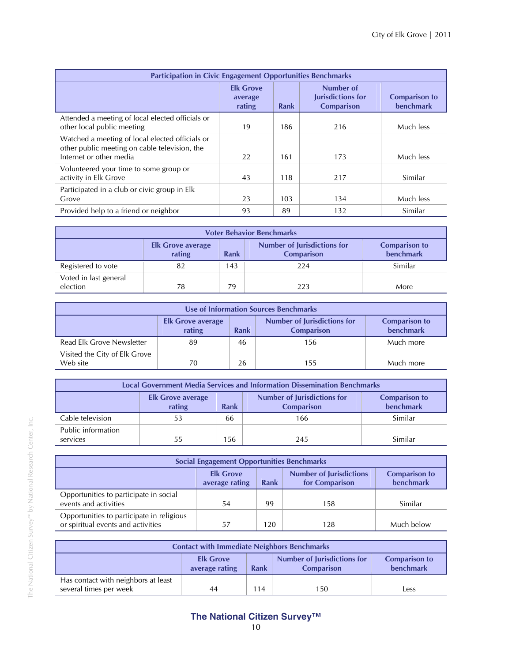| <b>Participation in Civic Engagement Opportunities Benchmarks</b>                                                           |                                       |             |                                                            |                                          |  |  |
|-----------------------------------------------------------------------------------------------------------------------------|---------------------------------------|-------------|------------------------------------------------------------|------------------------------------------|--|--|
|                                                                                                                             | <b>Elk Grove</b><br>average<br>rating | <b>Rank</b> | Number of<br><b>Jurisdictions for</b><br><b>Comparison</b> | <b>Comparison to</b><br><b>benchmark</b> |  |  |
| Attended a meeting of local elected officials or<br>other local public meeting                                              | 19                                    | 186         | 216                                                        | Much less                                |  |  |
| Watched a meeting of local elected officials or<br>other public meeting on cable television, the<br>Internet or other media | 22                                    | 161         | 173                                                        | Much less                                |  |  |
| Volunteered your time to some group or<br>activity in Elk Grove                                                             | 43                                    | 118         | 217                                                        | Similar                                  |  |  |
| Participated in a club or civic group in Elk<br>Grove                                                                       | 23                                    | 103         | 134                                                        | Much less                                |  |  |
| Provided help to a friend or neighbor                                                                                       | 93                                    | 89          | 132                                                        | Similar                                  |  |  |

| <b>Voter Behavior Benchmarks</b>                                                                                                                  |    |     |     |         |  |  |
|---------------------------------------------------------------------------------------------------------------------------------------------------|----|-----|-----|---------|--|--|
| <b>Number of Jurisdictions for</b><br><b>Comparison to</b><br><b>Elk Grove average</b><br>benchmark<br>rating<br><b>Rank</b><br><b>Comparison</b> |    |     |     |         |  |  |
| Registered to vote                                                                                                                                | 82 | 143 | 224 | Similar |  |  |
| Voted in last general<br>election                                                                                                                 | 78 | 79  | 223 | More    |  |  |

| Use of Information Sources Benchmarks                                                                                                                    |    |    |     |           |  |  |
|----------------------------------------------------------------------------------------------------------------------------------------------------------|----|----|-----|-----------|--|--|
| <b>Number of Jurisdictions for</b><br><b>Comparison to</b><br><b>Elk Grove average</b><br><b>benchmark</b><br>rating<br><b>Rank</b><br><b>Comparison</b> |    |    |     |           |  |  |
| Read Elk Grove Newsletter                                                                                                                                | 89 | 46 | 156 | Much more |  |  |
| Visited the City of Elk Grove<br>Web site                                                                                                                | 70 | 26 | 155 | Much more |  |  |

| <b>Local Government Media Services and Information Dissemination Benchmarks</b> |                                                                                                                                            |     |     |         |  |  |
|---------------------------------------------------------------------------------|--------------------------------------------------------------------------------------------------------------------------------------------|-----|-----|---------|--|--|
|                                                                                 | <b>Number of Jurisdictions for</b><br><b>Comparison to</b><br><b>Elk Grove average</b><br>benchmark<br><b>Comparison</b><br>rating<br>Rank |     |     |         |  |  |
| Cable television                                                                | 53                                                                                                                                         | 66  | 166 | Similar |  |  |
| Public information<br>services                                                  | 55                                                                                                                                         | 156 | 245 | Similar |  |  |

| <b>Social Engagement Opportunities Benchmarks</b>                                                                                   |    |     |     |            |  |  |
|-------------------------------------------------------------------------------------------------------------------------------------|----|-----|-----|------------|--|--|
| <b>Number of Jurisdictions</b><br><b>Elk Grove</b><br><b>Comparison to</b><br>benchmark<br>for Comparison<br>average rating<br>Rank |    |     |     |            |  |  |
| Opportunities to participate in social<br>events and activities                                                                     | 54 | 99  | 158 | Similar    |  |  |
| Opportunities to participate in religious<br>or spiritual events and activities                                                     | 57 | 120 | 128 | Much below |  |  |

| <b>Contact with Immediate Neighbors Benchmarks</b>                                                                                         |    |     |     |      |  |
|--------------------------------------------------------------------------------------------------------------------------------------------|----|-----|-----|------|--|
| <b>Number of Jurisdictions for</b><br><b>Elk Grove</b><br><b>Comparison to</b><br>benchmark<br>average rating<br>Rank<br><b>Comparison</b> |    |     |     |      |  |
| Has contact with neighbors at least<br>several times per week                                                                              | 44 | 114 | 150 | Less |  |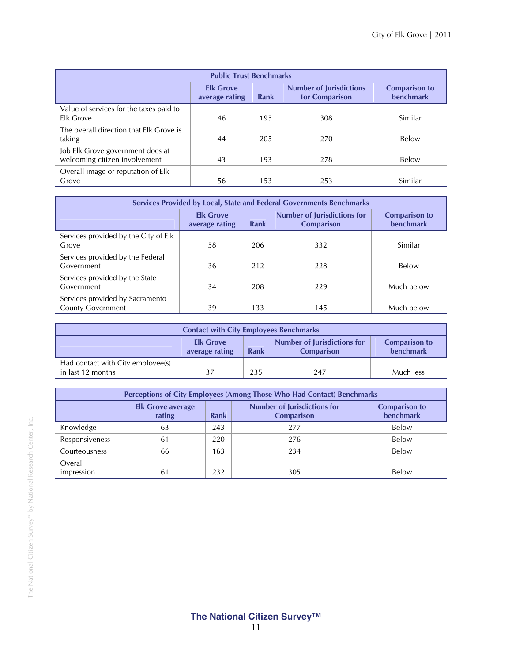| <b>Public Trust Benchmarks</b>          |                                    |      |                                                  |                                          |  |
|-----------------------------------------|------------------------------------|------|--------------------------------------------------|------------------------------------------|--|
|                                         | <b>Elk Grove</b><br>average rating | Rank | <b>Number of Jurisdictions</b><br>for Comparison | <b>Comparison to</b><br><b>benchmark</b> |  |
| Value of services for the taxes paid to |                                    |      |                                                  |                                          |  |
| Elk Grove                               | 46                                 | 195  | 308                                              | Similar                                  |  |
| The overall direction that Elk Grove is |                                    |      |                                                  |                                          |  |
| taking                                  | 44                                 | 205  | 270                                              | Below                                    |  |
| Job Elk Grove government does at        |                                    |      |                                                  |                                          |  |
| welcoming citizen involvement           | 43                                 | 193  | 278                                              | Below                                    |  |
| Overall image or reputation of Elk      |                                    |      |                                                  |                                          |  |
| Grove                                   | 56                                 | 153  | 253                                              | Similar                                  |  |

| Services Provided by Local, State and Federal Governments Benchmarks |                                    |      |                                                         |                                          |  |  |
|----------------------------------------------------------------------|------------------------------------|------|---------------------------------------------------------|------------------------------------------|--|--|
|                                                                      | <b>Elk Grove</b><br>average rating | Rank | <b>Number of Jurisdictions for</b><br><b>Comparison</b> | <b>Comparison to</b><br><b>benchmark</b> |  |  |
| Services provided by the City of Elk<br>Grove                        | 58                                 | 206  | 332                                                     | Similar                                  |  |  |
| Services provided by the Federal<br>Government                       | 36                                 | 212  | 228                                                     | Below                                    |  |  |
| Services provided by the State<br>Government                         | 34                                 | 208  | 229                                                     | Much below                               |  |  |
| Services provided by Sacramento<br><b>County Government</b>          | 39                                 | 133  | 145                                                     | Much below                               |  |  |

| <b>Contact with City Employees Benchmarks</b>                                                                                              |  |     |     |           |  |  |
|--------------------------------------------------------------------------------------------------------------------------------------------|--|-----|-----|-----------|--|--|
| <b>Number of Jurisdictions for</b><br><b>Elk Grove</b><br><b>Comparison to</b><br>benchmark<br>average rating<br>Rank<br><b>Comparison</b> |  |     |     |           |  |  |
| Had contact with City employee(s)<br>in last 12 months                                                                                     |  | 235 | 247 | Much less |  |  |

| Perceptions of City Employees (Among Those Who Had Contact) Benchmarks |                                    |      |                                                         |                                          |  |
|------------------------------------------------------------------------|------------------------------------|------|---------------------------------------------------------|------------------------------------------|--|
|                                                                        | <b>Elk Grove average</b><br>rating | Rank | <b>Number of Jurisdictions for</b><br><b>Comparison</b> | <b>Comparison to</b><br><b>benchmark</b> |  |
| Knowledge                                                              | 63                                 | 243  | 277                                                     | Below                                    |  |
| Responsiveness                                                         | 61                                 | 220  | 276                                                     | Below                                    |  |
| <b>Courteousness</b>                                                   | 66                                 | 163  | 234                                                     | Below                                    |  |
| Overall<br>impression                                                  | 61                                 | 232  | 305                                                     | Below                                    |  |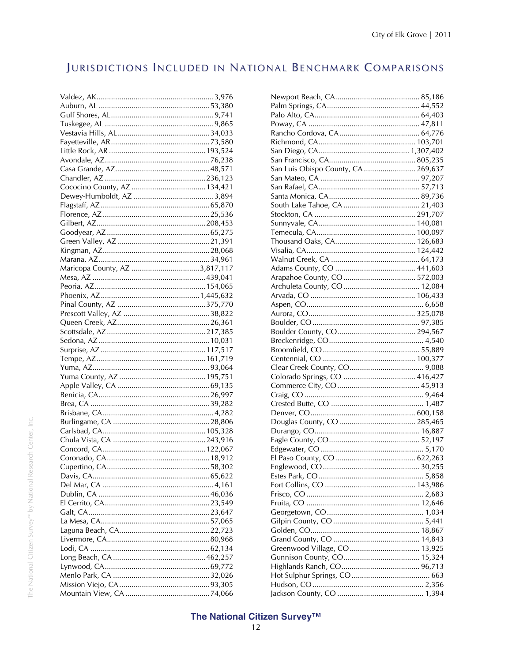# JURISDICTIONS INCLUDED IN NATIONAL BENCHMARK COMPARISONS

| Maricopa County, AZ 3,817,117 |
|-------------------------------|
|                               |
|                               |
|                               |
|                               |
|                               |
|                               |
|                               |
|                               |
|                               |
|                               |
|                               |
|                               |
|                               |
|                               |
|                               |
|                               |
|                               |
|                               |
|                               |
|                               |
|                               |
|                               |
|                               |
|                               |
|                               |
|                               |
|                               |
|                               |
|                               |
|                               |
|                               |
|                               |
|                               |
|                               |
|                               |
|                               |
|                               |
|                               |

| San Luis Obispo County, CA  269,637 |  |
|-------------------------------------|--|
|                                     |  |
|                                     |  |
|                                     |  |
|                                     |  |
|                                     |  |
|                                     |  |
|                                     |  |
|                                     |  |
|                                     |  |
|                                     |  |
|                                     |  |
|                                     |  |
|                                     |  |
|                                     |  |
|                                     |  |
|                                     |  |
|                                     |  |
|                                     |  |
|                                     |  |
|                                     |  |
|                                     |  |
|                                     |  |
|                                     |  |
|                                     |  |
|                                     |  |
|                                     |  |
|                                     |  |
|                                     |  |
|                                     |  |
|                                     |  |
|                                     |  |
|                                     |  |
|                                     |  |
|                                     |  |
|                                     |  |
|                                     |  |
|                                     |  |
|                                     |  |
|                                     |  |
|                                     |  |
|                                     |  |
|                                     |  |
| Greenwood Village, CO 13,925        |  |
|                                     |  |
|                                     |  |
|                                     |  |
|                                     |  |
|                                     |  |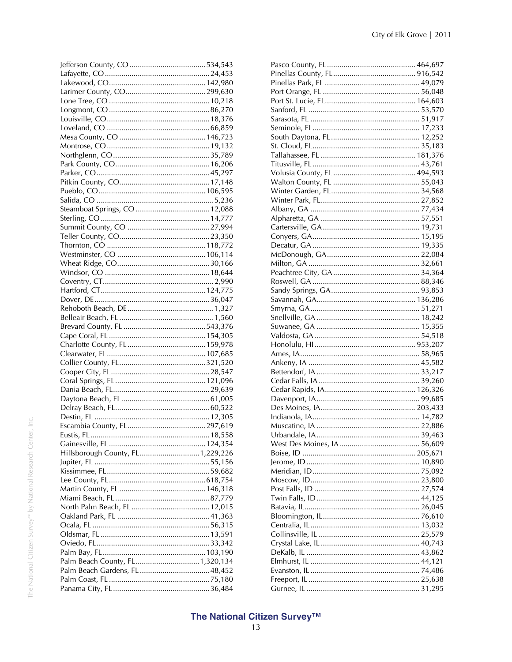| Hillsborough County, FL 1,229,226 |  |
|-----------------------------------|--|
|                                   |  |
|                                   |  |
|                                   |  |
|                                   |  |
|                                   |  |
|                                   |  |
|                                   |  |
|                                   |  |
|                                   |  |
|                                   |  |
|                                   |  |
| Palm Beach County, FL 1,320,134   |  |
|                                   |  |
|                                   |  |
|                                   |  |
|                                   |  |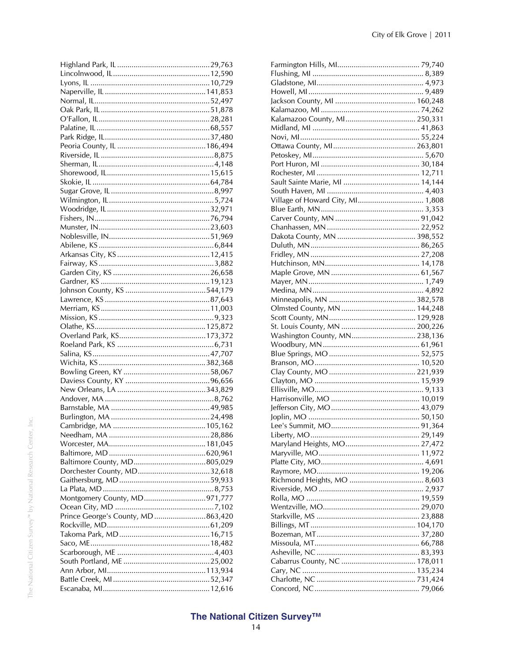| Montgomery County, MD971,777        |  |
|-------------------------------------|--|
|                                     |  |
| Prince George's County, MD  863,420 |  |
|                                     |  |
|                                     |  |
|                                     |  |
|                                     |  |
|                                     |  |
|                                     |  |
|                                     |  |
|                                     |  |
|                                     |  |

| Kalamazoo County, Ml 250,331     |  |
|----------------------------------|--|
|                                  |  |
|                                  |  |
|                                  |  |
|                                  |  |
|                                  |  |
|                                  |  |
|                                  |  |
|                                  |  |
| Village of Howard City, MI 1,808 |  |
|                                  |  |
|                                  |  |
|                                  |  |
|                                  |  |
|                                  |  |
|                                  |  |
|                                  |  |
|                                  |  |
|                                  |  |
|                                  |  |
|                                  |  |
|                                  |  |
|                                  |  |
|                                  |  |
| Washington County, MN 238,136    |  |
|                                  |  |
|                                  |  |
|                                  |  |
|                                  |  |
|                                  |  |
|                                  |  |
|                                  |  |
|                                  |  |
|                                  |  |
|                                  |  |
|                                  |  |
|                                  |  |
|                                  |  |
|                                  |  |
|                                  |  |
|                                  |  |
|                                  |  |
|                                  |  |
|                                  |  |
|                                  |  |
|                                  |  |
|                                  |  |
|                                  |  |
|                                  |  |
|                                  |  |
|                                  |  |
|                                  |  |
|                                  |  |
|                                  |  |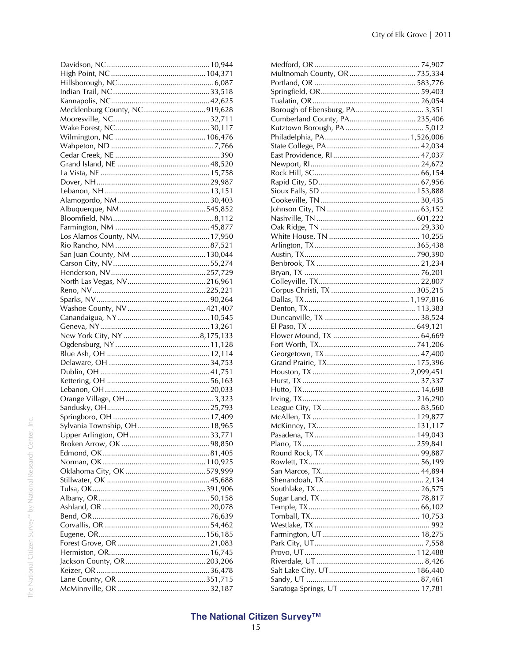| Mecklenburg County, NC 919,628 |  |
|--------------------------------|--|
|                                |  |
|                                |  |
|                                |  |
|                                |  |
|                                |  |
|                                |  |
|                                |  |
|                                |  |
|                                |  |
|                                |  |
|                                |  |
|                                |  |
|                                |  |
|                                |  |
|                                |  |
|                                |  |
|                                |  |
|                                |  |
|                                |  |
|                                |  |
|                                |  |
|                                |  |
|                                |  |
|                                |  |
|                                |  |
|                                |  |
|                                |  |
|                                |  |
|                                |  |
|                                |  |
|                                |  |
|                                |  |
|                                |  |
|                                |  |
|                                |  |
|                                |  |
|                                |  |
|                                |  |
|                                |  |
|                                |  |
|                                |  |
|                                |  |
|                                |  |
|                                |  |
|                                |  |
|                                |  |
|                                |  |
|                                |  |
|                                |  |
|                                |  |
|                                |  |
|                                |  |
|                                |  |
|                                |  |
|                                |  |
|                                |  |
|                                |  |
|                                |  |
|                                |  |
|                                |  |

| Borough of Ebensburg, PA 3,351 |
|--------------------------------|
| Cumberland County, PA 235,406  |
|                                |
|                                |
|                                |
|                                |
|                                |
|                                |
|                                |
|                                |
|                                |
|                                |
|                                |
|                                |
|                                |
|                                |
|                                |
|                                |
|                                |
|                                |
|                                |
|                                |
|                                |
|                                |
|                                |
|                                |
|                                |
|                                |
|                                |
|                                |
|                                |
|                                |
|                                |
|                                |
|                                |
|                                |
|                                |
|                                |
|                                |
|                                |
|                                |
|                                |
|                                |
|                                |
|                                |
|                                |
|                                |
|                                |
|                                |
|                                |
|                                |
|                                |
|                                |
|                                |
|                                |
|                                |
|                                |
|                                |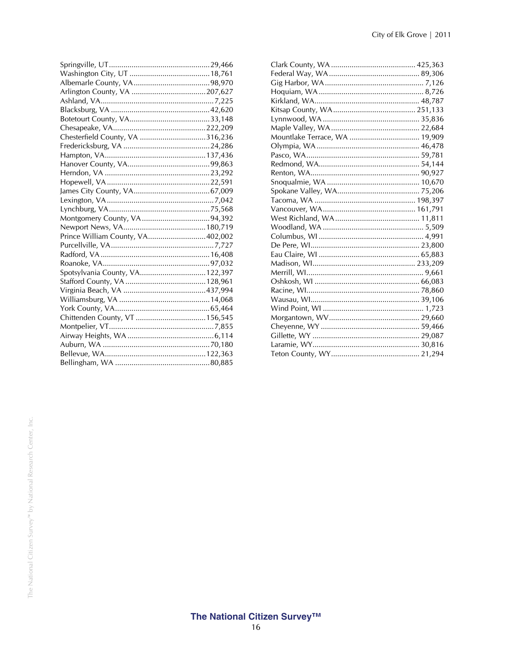| Chesterfield County, VA 316,236  |  |
|----------------------------------|--|
|                                  |  |
|                                  |  |
|                                  |  |
|                                  |  |
|                                  |  |
|                                  |  |
|                                  |  |
|                                  |  |
|                                  |  |
|                                  |  |
| Prince William County, VA402,002 |  |
|                                  |  |
|                                  |  |
|                                  |  |
| Spotsylvania County, VA 122,397  |  |
|                                  |  |
|                                  |  |
|                                  |  |
|                                  |  |
|                                  |  |
|                                  |  |
|                                  |  |
|                                  |  |
|                                  |  |
|                                  |  |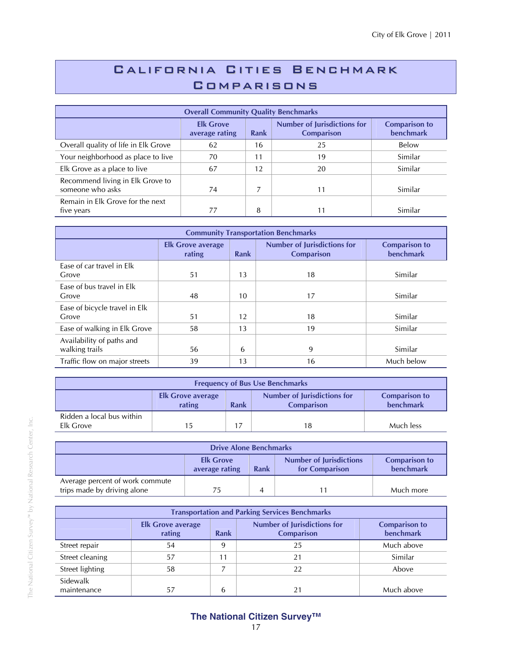# California Cities Benchmark **COMPARISONS**

| <b>Overall Community Quality Benchmarks</b>          |                                    |                                                                 |    |                                          |  |  |  |
|------------------------------------------------------|------------------------------------|-----------------------------------------------------------------|----|------------------------------------------|--|--|--|
|                                                      | <b>Elk Grove</b><br>average rating | <b>Number of Jurisdictions for</b><br>Rank<br><b>Comparison</b> |    | <b>Comparison to</b><br><b>benchmark</b> |  |  |  |
| Overall quality of life in Elk Grove                 | 62                                 | 16                                                              | 25 | Below                                    |  |  |  |
| Your neighborhood as place to live                   | 70                                 | 11                                                              | 19 | Similar                                  |  |  |  |
| Elk Grove as a place to live                         | 67                                 | 12                                                              | 20 | Similar                                  |  |  |  |
| Recommend living in Elk Grove to<br>someone who asks | 74                                 |                                                                 |    | Similar                                  |  |  |  |
| Remain in Elk Grove for the next<br>five years       | 77                                 | 8                                                               |    | Similar                                  |  |  |  |

| <b>Community Transportation Benchmarks</b>  |                                    |                                                                        |    |            |  |  |  |
|---------------------------------------------|------------------------------------|------------------------------------------------------------------------|----|------------|--|--|--|
|                                             | <b>Elk Grove average</b><br>rating | <b>Number of Jurisdictions for</b><br><b>Rank</b><br><b>Comparison</b> |    |            |  |  |  |
| Ease of car travel in Elk<br>Grove          | 51                                 | 13                                                                     | 18 | Similar    |  |  |  |
| Ease of bus travel in Elk<br>Grove          | 48                                 | 10                                                                     | 17 | Similar    |  |  |  |
| Ease of bicycle travel in Elk<br>Grove      | 51                                 | 12                                                                     | 18 | Similar    |  |  |  |
| Ease of walking in Elk Grove                | 58                                 | 13                                                                     | 19 | Similar    |  |  |  |
| Availability of paths and<br>walking trails | 56                                 | 6                                                                      | 9  | Similar    |  |  |  |
| Traffic flow on major streets               | 39                                 | 13                                                                     | 16 | Much below |  |  |  |

| <b>Frequency of Bus Use Benchmarks</b>                                                                                                     |     |  |    |           |  |  |  |
|--------------------------------------------------------------------------------------------------------------------------------------------|-----|--|----|-----------|--|--|--|
| <b>Number of Jurisdictions for</b><br><b>Comparison to</b><br><b>Elk Grove average</b><br>rating<br>benchmark<br>Rank<br><b>Comparison</b> |     |  |    |           |  |  |  |
| Ridden a local bus within<br>Elk Grove                                                                                                     | 15. |  | 18 | Much less |  |  |  |

| <b>Drive Alone Benchmarks</b>                                                                                                       |    |  |  |           |  |  |  |
|-------------------------------------------------------------------------------------------------------------------------------------|----|--|--|-----------|--|--|--|
| <b>Number of Jurisdictions</b><br><b>Comparison to</b><br><b>Elk Grove</b><br>benchmark<br>for Comparison<br>average rating<br>Rank |    |  |  |           |  |  |  |
| Average percent of work commute<br>trips made by driving alone                                                                      | 75 |  |  | Much more |  |  |  |

| <b>Transportation and Parking Services Benchmarks</b> |                                    |                                                                 |    |            |  |  |  |
|-------------------------------------------------------|------------------------------------|-----------------------------------------------------------------|----|------------|--|--|--|
|                                                       | <b>Elk Grove average</b><br>rating | <b>Number of Jurisdictions for</b><br>Rank<br><b>Comparison</b> |    |            |  |  |  |
| Street repair                                         | 54                                 | 9                                                               | 25 | Much above |  |  |  |
| Street cleaning                                       | 57                                 | 11                                                              | 21 | Similar    |  |  |  |
| Street lighting                                       | 58                                 |                                                                 | 22 | Above      |  |  |  |
| Sidewalk<br>maintenance                               | 57                                 | 6                                                               | 21 | Much above |  |  |  |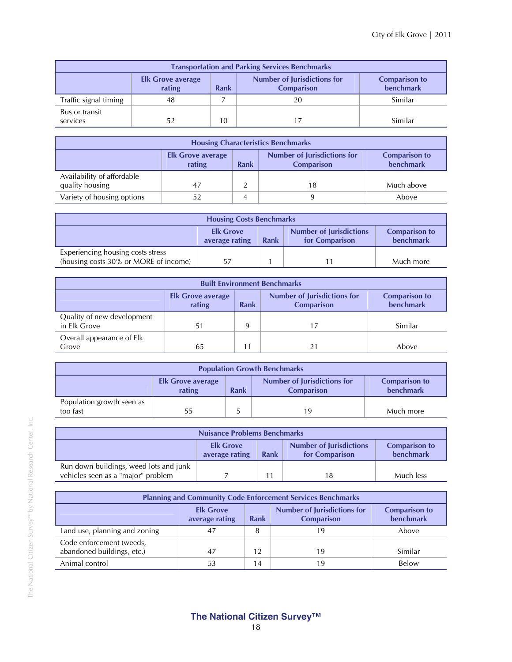| <b>Transportation and Parking Services Benchmarks</b>                                                                                             |    |    |    |         |  |  |  |
|---------------------------------------------------------------------------------------------------------------------------------------------------|----|----|----|---------|--|--|--|
| <b>Number of Jurisdictions for</b><br><b>Comparison to</b><br><b>Elk Grove average</b><br><b>benchmark</b><br>Rank<br>rating<br><b>Comparison</b> |    |    |    |         |  |  |  |
| Traffic signal timing                                                                                                                             | 48 |    | 20 | Similar |  |  |  |
| Bus or transit<br>services                                                                                                                        | 52 | 10 | 17 | Similar |  |  |  |

| <b>Housing Characteristics Benchmarks</b>                                                                                                         |     |  |    |            |  |  |  |
|---------------------------------------------------------------------------------------------------------------------------------------------------|-----|--|----|------------|--|--|--|
| <b>Number of Jurisdictions for</b><br><b>Comparison to</b><br><b>Elk Grove average</b><br><b>benchmark</b><br>Rank<br>rating<br><b>Comparison</b> |     |  |    |            |  |  |  |
| Availability of affordable<br>quality housing                                                                                                     | -47 |  | 18 | Much above |  |  |  |
| Variety of housing options                                                                                                                        |     |  |    | Above      |  |  |  |

| <b>Housing Costs Benchmarks</b>                                                                                                     |    |  |  |           |  |  |
|-------------------------------------------------------------------------------------------------------------------------------------|----|--|--|-----------|--|--|
| <b>Number of Jurisdictions</b><br><b>Elk Grove</b><br><b>Comparison to</b><br>benchmark<br>average rating<br>Rank<br>for Comparison |    |  |  |           |  |  |
| Experiencing housing costs stress<br>(housing costs 30% or MORE of income)                                                          | 57 |  |  | Much more |  |  |

| <b>Built Environment Benchmarks</b>        |                                                                                                                                                   |   |    |         |  |  |  |  |
|--------------------------------------------|---------------------------------------------------------------------------------------------------------------------------------------------------|---|----|---------|--|--|--|--|
|                                            | <b>Number of Jurisdictions for</b><br><b>Comparison to</b><br><b>Elk Grove average</b><br><b>benchmark</b><br>rating<br><b>Comparison</b><br>Rank |   |    |         |  |  |  |  |
| Quality of new development<br>in Elk Grove | 51                                                                                                                                                | 9 | 17 | Similar |  |  |  |  |
| Overall appearance of Elk<br>Grove         | 65                                                                                                                                                |   |    | Above   |  |  |  |  |

| <b>Population Growth Benchmarks</b>                                                                                                        |    |  |    |           |  |  |  |
|--------------------------------------------------------------------------------------------------------------------------------------------|----|--|----|-----------|--|--|--|
| <b>Number of Jurisdictions for</b><br><b>Comparison to</b><br><b>Elk Grove average</b><br>benchmark<br>rating<br><b>Comparison</b><br>Rank |    |  |    |           |  |  |  |
| Population growth seen as<br>too fast                                                                                                      | 55 |  | 19 | Much more |  |  |  |

| <b>Nuisance Problems Benchmarks</b>                                          |                                                                                                                                     |  |    |           |  |  |
|------------------------------------------------------------------------------|-------------------------------------------------------------------------------------------------------------------------------------|--|----|-----------|--|--|
|                                                                              | <b>Number of Jurisdictions</b><br><b>Elk Grove</b><br><b>Comparison to</b><br>benchmark<br>average rating<br>Rank<br>for Comparison |  |    |           |  |  |
| Run down buildings, weed lots and junk<br>vehicles seen as a "major" problem |                                                                                                                                     |  | 18 | Much less |  |  |

| <b>Planning and Community Code Enforcement Services Benchmarks</b>                                                                                |    |    |    |         |  |  |  |
|---------------------------------------------------------------------------------------------------------------------------------------------------|----|----|----|---------|--|--|--|
| <b>Number of Jurisdictions for</b><br><b>Elk Grove</b><br><b>Comparison to</b><br><b>benchmark</b><br>Rank<br><b>Comparison</b><br>average rating |    |    |    |         |  |  |  |
| Land use, planning and zoning                                                                                                                     | 47 | 8  | 19 | Above   |  |  |  |
| Code enforcement (weeds,<br>abandoned buildings, etc.)                                                                                            | 47 | 12 | 19 | Similar |  |  |  |
| Animal control                                                                                                                                    | 53 | 14 | 19 | Below   |  |  |  |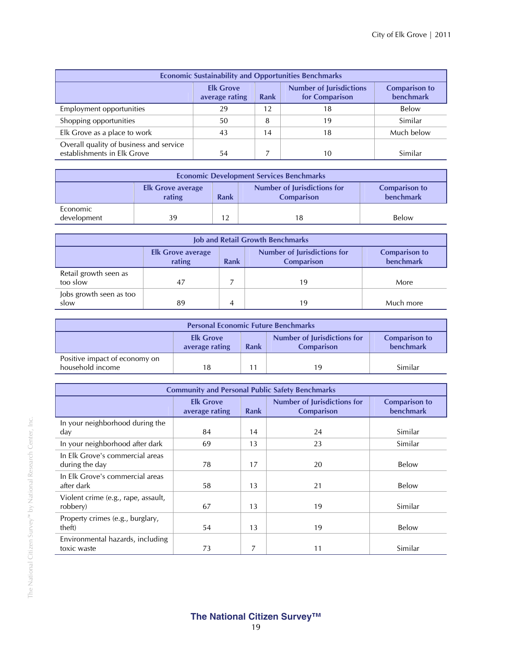| <b>Economic Sustainability and Opportunities Benchmarks</b>                                                                         |    |    |    |            |  |  |  |
|-------------------------------------------------------------------------------------------------------------------------------------|----|----|----|------------|--|--|--|
| <b>Number of Jurisdictions</b><br><b>Comparison to</b><br><b>Elk Grove</b><br>benchmark<br>for Comparison<br>Rank<br>average rating |    |    |    |            |  |  |  |
| Employment opportunities                                                                                                            | 29 | 12 | 18 | Below      |  |  |  |
| Shopping opportunities                                                                                                              | 50 | 8  | 19 | Similar    |  |  |  |
| Elk Grove as a place to work                                                                                                        | 43 | 14 | 18 | Much below |  |  |  |
| Overall quality of business and service<br>establishments in Elk Grove                                                              | 54 |    | 10 | Similar    |  |  |  |

| <b>Economic Development Services Benchmarks</b> |                                                                                                                                            |  |    |       |  |  |  |
|-------------------------------------------------|--------------------------------------------------------------------------------------------------------------------------------------------|--|----|-------|--|--|--|
|                                                 | <b>Number of Jurisdictions for</b><br><b>Comparison to</b><br><b>Elk Grove average</b><br>benchmark<br>rating<br>Rank<br><b>Comparison</b> |  |    |       |  |  |  |
| Economic<br>development                         | 39                                                                                                                                         |  | 18 | Below |  |  |  |

| <b>Job and Retail Growth Benchmarks</b> |                                                                                                                                                   |   |    |           |  |  |  |
|-----------------------------------------|---------------------------------------------------------------------------------------------------------------------------------------------------|---|----|-----------|--|--|--|
|                                         | Number of Jurisdictions for<br><b>Comparison to</b><br><b>Elk Grove average</b><br><b>benchmark</b><br><b>Rank</b><br>rating<br><b>Comparison</b> |   |    |           |  |  |  |
| Retail growth seen as<br>too slow       | 47                                                                                                                                                |   | 19 | More      |  |  |  |
| Jobs growth seen as too<br>slow         | 89                                                                                                                                                | 4 | 19 | Much more |  |  |  |

| <b>Personal Economic Future Benchmarks</b>        |                                                                                                                                            |  |    |         |  |  |  |
|---------------------------------------------------|--------------------------------------------------------------------------------------------------------------------------------------------|--|----|---------|--|--|--|
|                                                   | <b>Number of Jurisdictions for</b><br><b>Comparison to</b><br><b>Elk Grove</b><br>benchmark<br>Rank<br><b>Comparison</b><br>average rating |  |    |         |  |  |  |
| Positive impact of economy on<br>household income | 18                                                                                                                                         |  | 19 | Similar |  |  |  |

| <b>Community and Personal Public Safety Benchmarks</b> |                                                                                                       |    |    |                                   |  |  |  |
|--------------------------------------------------------|-------------------------------------------------------------------------------------------------------|----|----|-----------------------------------|--|--|--|
|                                                        | <b>Number of Jurisdictions for</b><br><b>Elk Grove</b><br>Rank<br><b>Comparison</b><br>average rating |    |    | <b>Comparison to</b><br>benchmark |  |  |  |
| In your neighborhood during the<br>day                 | 84                                                                                                    | 14 | 24 | Similar                           |  |  |  |
| In your neighborhood after dark                        | 69                                                                                                    | 13 | 23 | Similar                           |  |  |  |
| In Elk Grove's commercial areas<br>during the day      | 78                                                                                                    | 17 | 20 | Below                             |  |  |  |
| In Elk Grove's commercial areas<br>after dark          | 58                                                                                                    | 13 | 21 | Below                             |  |  |  |
| Violent crime (e.g., rape, assault,<br>robbery)        | 67                                                                                                    | 13 | 19 | Similar                           |  |  |  |
| Property crimes (e.g., burglary,<br>theft)             | 54                                                                                                    | 13 | 19 | Below                             |  |  |  |
| Environmental hazards, including<br>toxic waste        | 73                                                                                                    | 7  | 11 | Similar                           |  |  |  |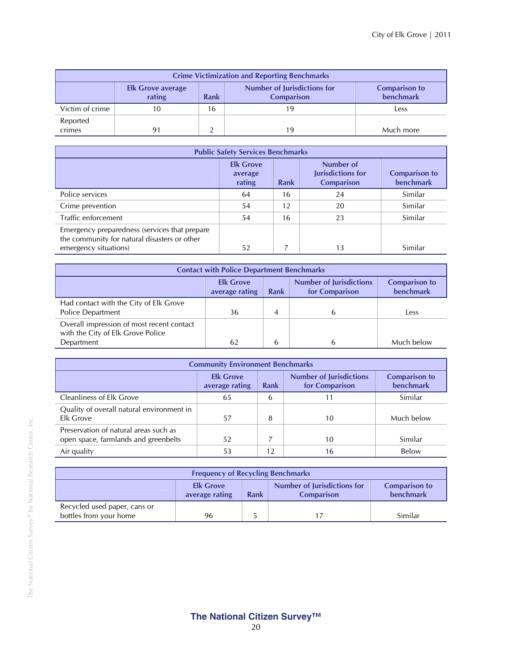| <b>Crime Victimization and Reporting Benchmarks</b>                                                                                               |    |    |    |           |  |  |  |  |
|---------------------------------------------------------------------------------------------------------------------------------------------------|----|----|----|-----------|--|--|--|--|
| <b>Number of Jurisdictions for</b><br><b>Comparison to</b><br><b>Elk Grove average</b><br><b>benchmark</b><br>rating<br>Rank<br><b>Comparison</b> |    |    |    |           |  |  |  |  |
| Victim of crime                                                                                                                                   | 10 | 16 | 19 | Less      |  |  |  |  |
| Reported<br>crimes                                                                                                                                |    |    | 19 | Much more |  |  |  |  |

| <b>Public Safety Services Benchmarks</b>                                                                               |                                       |             |                                                     |                                   |  |  |  |
|------------------------------------------------------------------------------------------------------------------------|---------------------------------------|-------------|-----------------------------------------------------|-----------------------------------|--|--|--|
|                                                                                                                        | <b>Elk Grove</b><br>average<br>rating | <b>Rank</b> | Number of<br>Jurisdictions for<br><b>Comparison</b> | <b>Comparison to</b><br>benchmark |  |  |  |
| Police services                                                                                                        | 64                                    | 16          | 24                                                  | Similar                           |  |  |  |
| Crime prevention                                                                                                       | 54                                    | 12          | 20                                                  | Similar                           |  |  |  |
| Traffic enforcement                                                                                                    | 54                                    | 16          | 23                                                  | Similar                           |  |  |  |
| Emergency preparedness (services that prepare<br>the community for natural disasters or other<br>emergency situations) | 52                                    |             | 13                                                  | Similar                           |  |  |  |

| <b>Contact with Police Department Benchmarks</b>                                                                                           |    |   |  |            |  |  |
|--------------------------------------------------------------------------------------------------------------------------------------------|----|---|--|------------|--|--|
| <b>Number of Jurisdictions</b><br><b>Comparison to</b><br><b>Elk Grove</b><br><b>benchmark</b><br>for Comparison<br>Rank<br>average rating |    |   |  |            |  |  |
| Had contact with the City of Elk Grove<br>Police Department                                                                                | 36 | 4 |  | Less       |  |  |
| Overall impression of most recent contact<br>with the City of Elk Grove Police                                                             |    |   |  |            |  |  |
| Department                                                                                                                                 | 62 | 6 |  | Much below |  |  |

| <b>Community Environment Benchmarks</b>                                       |                                    |      |                                                  |                                   |  |  |
|-------------------------------------------------------------------------------|------------------------------------|------|--------------------------------------------------|-----------------------------------|--|--|
|                                                                               | <b>Elk Grove</b><br>average rating | Rank | <b>Number of Jurisdictions</b><br>for Comparison | <b>Comparison to</b><br>benchmark |  |  |
| <b>Cleanliness of Elk Grove</b>                                               | 65                                 | 6    | 11                                               | Similar                           |  |  |
| Quality of overall natural environment in<br>Elk Grove                        | 57                                 | 8    | 10                                               | Much below                        |  |  |
| Preservation of natural areas such as<br>open space, farmlands and greenbelts | 52                                 |      | 10                                               | Similar                           |  |  |
| Air quality                                                                   | 53                                 | 12   | 16                                               | Below                             |  |  |

| <b>Frequency of Recycling Benchmarks</b>                                                                                            |    |  |  |         |  |  |
|-------------------------------------------------------------------------------------------------------------------------------------|----|--|--|---------|--|--|
| Number of Jurisdictions for<br><b>Elk Grove</b><br><b>Comparison to</b><br>benchmark<br>Rank<br>average rating<br><b>Comparison</b> |    |  |  |         |  |  |
| Recycled used paper, cans or<br>bottles from your home                                                                              | 96 |  |  | Similar |  |  |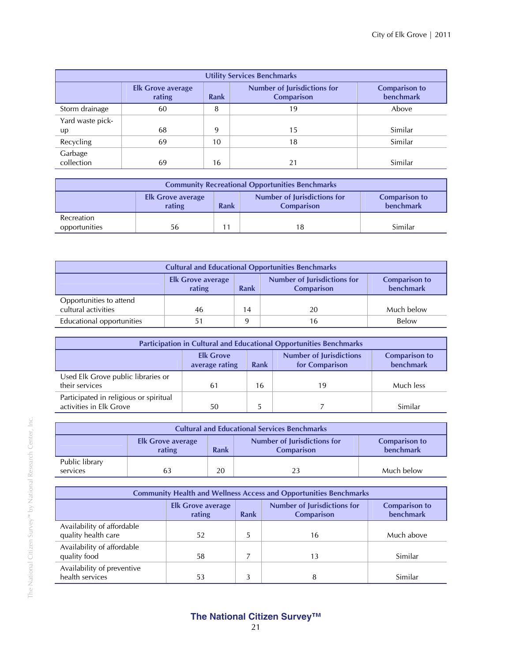| <b>Utility Services Benchmarks</b> |                                    |             |                                                  |                                          |  |  |  |
|------------------------------------|------------------------------------|-------------|--------------------------------------------------|------------------------------------------|--|--|--|
|                                    | <b>Elk Grove average</b><br>rating | <b>Rank</b> | <b>Number of Jurisdictions for</b><br>Comparison | <b>Comparison to</b><br><b>benchmark</b> |  |  |  |
| Storm drainage                     | 60                                 | 8           | 19                                               | Above                                    |  |  |  |
| Yard waste pick-                   |                                    |             |                                                  |                                          |  |  |  |
| up                                 | 68                                 | 9           | 15                                               | Similar                                  |  |  |  |
| Recycling                          | 69                                 | 10          | 18                                               | Similar                                  |  |  |  |
| Garbage<br>collection              | 69                                 | 16          | 21                                               | Similar                                  |  |  |  |

| <b>Community Recreational Opportunities Benchmarks</b>                                                                                     |    |  |  |         |  |  |  |
|--------------------------------------------------------------------------------------------------------------------------------------------|----|--|--|---------|--|--|--|
| <b>Number of Jurisdictions for</b><br><b>Comparison to</b><br><b>Elk Grove average</b><br>benchmark<br>rating<br>Rank<br><b>Comparison</b> |    |  |  |         |  |  |  |
| Recreation<br>opportunities                                                                                                                | 56 |  |  | Similar |  |  |  |

| <b>Cultural and Educational Opportunities Benchmarks</b>                                                                                                 |    |    |    |            |  |  |
|----------------------------------------------------------------------------------------------------------------------------------------------------------|----|----|----|------------|--|--|
| <b>Number of Jurisdictions for</b><br><b>Comparison to</b><br><b>Elk Grove average</b><br><b>benchmark</b><br>rating<br><b>Rank</b><br><b>Comparison</b> |    |    |    |            |  |  |
| Opportunities to attend<br>cultural activities                                                                                                           | 46 | 14 | 20 | Much below |  |  |
| Educational opportunities                                                                                                                                | 51 | 9  | 16 | Below      |  |  |

| <b>Participation in Cultural and Educational Opportunities Benchmarks</b>                                                                  |    |    |    |           |  |  |
|--------------------------------------------------------------------------------------------------------------------------------------------|----|----|----|-----------|--|--|
| <b>Number of Jurisdictions</b><br><b>Elk Grove</b><br><b>Comparison to</b><br><b>benchmark</b><br>for Comparison<br>Rank<br>average rating |    |    |    |           |  |  |
| Used Elk Grove public libraries or<br>their services                                                                                       | 61 | 16 | 19 | Much less |  |  |
| Participated in religious or spiritual<br>activities in Elk Grove                                                                          | 50 |    |    | Similar   |  |  |

| <b>Cultural and Educational Services Benchmarks</b> |                                                                                                                                     |    |    |            |  |  |  |
|-----------------------------------------------------|-------------------------------------------------------------------------------------------------------------------------------------|----|----|------------|--|--|--|
|                                                     | Number of Jurisdictions for<br><b>Comparison to</b><br><b>Elk Grove average</b><br>benchmark<br>rating<br>Rank<br><b>Comparison</b> |    |    |            |  |  |  |
| Public library<br>services                          | 63                                                                                                                                  | 20 | 23 | Much below |  |  |  |

| <b>Community Health and Wellness Access and Opportunities Benchmarks</b>                                                                          |    |   |    |            |  |  |
|---------------------------------------------------------------------------------------------------------------------------------------------------|----|---|----|------------|--|--|
| <b>Number of Jurisdictions for</b><br><b>Comparison to</b><br><b>Elk Grove average</b><br><b>benchmark</b><br>Rank<br>rating<br><b>Comparison</b> |    |   |    |            |  |  |
| Availability of affordable<br>quality health care                                                                                                 | 52 | 5 | 16 | Much above |  |  |
| Availability of affordable<br>quality food                                                                                                        | 58 |   | 13 | Similar    |  |  |
| Availability of preventive<br>health services                                                                                                     | 53 | 3 | 8  | Similar    |  |  |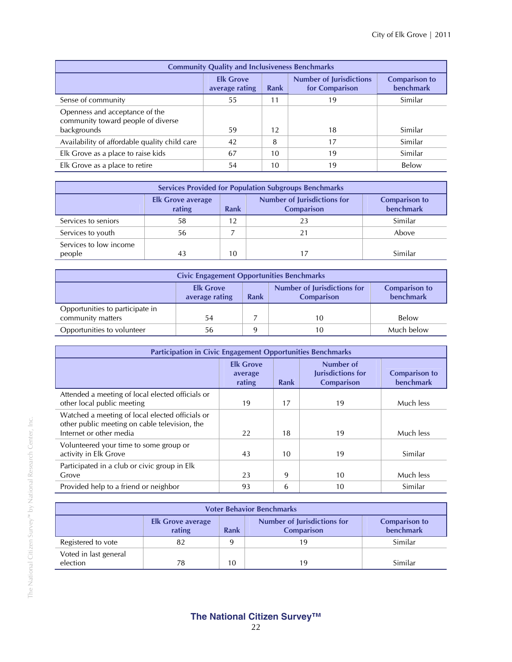| <b>Community Quality and Inclusiveness Benchmarks</b>                               |                                    |      |                                                  |                                   |  |  |  |
|-------------------------------------------------------------------------------------|------------------------------------|------|--------------------------------------------------|-----------------------------------|--|--|--|
|                                                                                     | <b>Elk Grove</b><br>average rating | Rank | <b>Number of Jurisdictions</b><br>for Comparison | <b>Comparison to</b><br>benchmark |  |  |  |
| Sense of community                                                                  | 55                                 | 11   | 19                                               | Similar                           |  |  |  |
| Openness and acceptance of the<br>community toward people of diverse<br>backgrounds | 59                                 | 12   | 18                                               | Similar                           |  |  |  |
| Availability of affordable quality child care                                       | 42                                 | 8    | 17                                               | Similar                           |  |  |  |
| Elk Grove as a place to raise kids                                                  | 67                                 | 10   | 19                                               | Similar                           |  |  |  |
| Elk Grove as a place to retire                                                      | 54                                 | 10   | 19                                               | Below                             |  |  |  |

| <b>Services Provided for Population Subgroups Benchmarks</b> |                                                                                                                                            |    |    |         |  |  |  |  |
|--------------------------------------------------------------|--------------------------------------------------------------------------------------------------------------------------------------------|----|----|---------|--|--|--|--|
|                                                              | <b>Number of Jurisdictions for</b><br><b>Comparison to</b><br><b>Elk Grove average</b><br>benchmark<br>rating<br><b>Comparison</b><br>Rank |    |    |         |  |  |  |  |
| Services to seniors                                          | 58                                                                                                                                         | 12 |    | Similar |  |  |  |  |
| Services to youth                                            | 56                                                                                                                                         |    | 21 | Above   |  |  |  |  |
| Services to low income<br>people                             | 43                                                                                                                                         | 10 |    | Similar |  |  |  |  |

| <b>Civic Engagement Opportunities Benchmarks</b>     |                                                                                                                                            |   |    |            |  |  |
|------------------------------------------------------|--------------------------------------------------------------------------------------------------------------------------------------------|---|----|------------|--|--|
|                                                      | <b>Number of Jurisdictions for</b><br><b>Elk Grove</b><br><b>Comparison to</b><br>benchmark<br>Rank<br><b>Comparison</b><br>average rating |   |    |            |  |  |
| Opportunities to participate in<br>community matters | 54                                                                                                                                         |   | 10 | Below      |  |  |
| Opportunities to volunteer                           | 56                                                                                                                                         | q | 10 | Much below |  |  |

| <b>Participation in Civic Engagement Opportunities Benchmarks</b>                                                           |                                       |      |                                                     |                                          |  |  |
|-----------------------------------------------------------------------------------------------------------------------------|---------------------------------------|------|-----------------------------------------------------|------------------------------------------|--|--|
|                                                                                                                             | <b>Elk Grove</b><br>average<br>rating | Rank | Number of<br>Jurisdictions for<br><b>Comparison</b> | <b>Comparison to</b><br><b>benchmark</b> |  |  |
| Attended a meeting of local elected officials or<br>other local public meeting                                              | 19                                    | 17   | 19                                                  | Much less                                |  |  |
| Watched a meeting of local elected officials or<br>other public meeting on cable television, the<br>Internet or other media | 22                                    | 18   | 19                                                  | Much less                                |  |  |
| Volunteered your time to some group or<br>activity in Elk Grove                                                             | 43                                    | 10   | 19                                                  | Similar                                  |  |  |
| Participated in a club or civic group in Elk<br>Grove                                                                       | 23                                    | 9    | 10                                                  | Much less                                |  |  |
| Provided help to a friend or neighbor                                                                                       | 93                                    | 6    | 10                                                  | Similar                                  |  |  |

| <b>Voter Behavior Benchmarks</b>                                                                                                           |    |  |    |         |  |  |  |
|--------------------------------------------------------------------------------------------------------------------------------------------|----|--|----|---------|--|--|--|
| <b>Number of Jurisdictions for</b><br><b>Comparison to</b><br><b>Elk Grove average</b><br>benchmark<br>rating<br><b>Comparison</b><br>Rank |    |  |    |         |  |  |  |
| Registered to vote                                                                                                                         | 82 |  | 19 | Similar |  |  |  |
| Voted in last general<br>election<br>Similar<br>10<br>19<br>78                                                                             |    |  |    |         |  |  |  |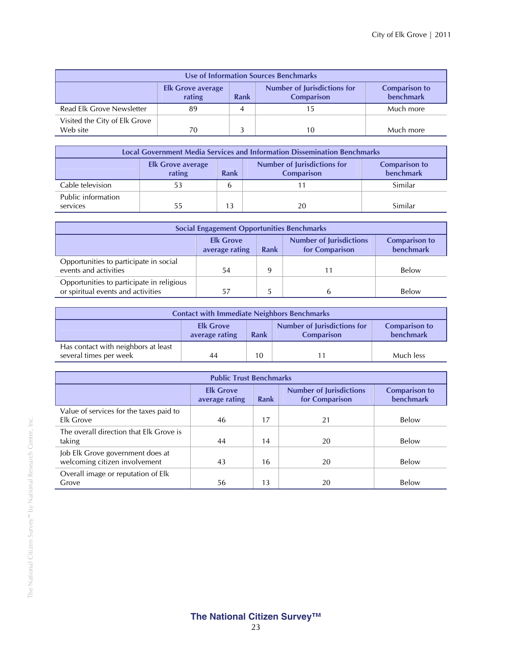| Use of Information Sources Benchmarks                                                                                                      |    |   |    |           |  |  |
|--------------------------------------------------------------------------------------------------------------------------------------------|----|---|----|-----------|--|--|
| <b>Number of Jurisdictions for</b><br><b>Comparison to</b><br><b>Elk Grove average</b><br>benchmark<br>rating<br><b>Comparison</b><br>Rank |    |   |    |           |  |  |
| Read Elk Grove Newsletter                                                                                                                  | 89 | 4 |    | Much more |  |  |
| Visited the City of Elk Grove<br>Web site                                                                                                  | 70 |   | 10 | Much more |  |  |

| <b>Local Government Media Services and Information Dissemination Benchmarks</b> |                                                                                                                                                   |    |    |         |  |  |  |
|---------------------------------------------------------------------------------|---------------------------------------------------------------------------------------------------------------------------------------------------|----|----|---------|--|--|--|
|                                                                                 | <b>Number of Jurisdictions for</b><br><b>Comparison to</b><br><b>Elk Grove average</b><br><b>benchmark</b><br>rating<br><b>Comparison</b><br>Rank |    |    |         |  |  |  |
| Cable television                                                                | 53                                                                                                                                                | h  |    | Similar |  |  |  |
| Public information<br>services                                                  | 55                                                                                                                                                | 13 | 20 | Similar |  |  |  |

| <b>Social Engagement Opportunities Benchmarks</b>                                                                                          |    |  |   |       |  |
|--------------------------------------------------------------------------------------------------------------------------------------------|----|--|---|-------|--|
| <b>Number of Jurisdictions</b><br><b>Elk Grove</b><br><b>Comparison to</b><br>for Comparison<br><b>benchmark</b><br>Rank<br>average rating |    |  |   |       |  |
| Opportunities to participate in social<br>events and activities                                                                            | 54 |  |   | Below |  |
| Opportunities to participate in religious<br>or spiritual events and activities                                                            | 57 |  | b | Below |  |

| <b>Contact with Immediate Neighbors Benchmarks</b>                                                                                         |    |    |  |           |  |
|--------------------------------------------------------------------------------------------------------------------------------------------|----|----|--|-----------|--|
| Number of Jurisdictions for<br><b>Comparison to</b><br><b>Elk Grove</b><br><b>benchmark</b><br>average rating<br>Rank<br><b>Comparison</b> |    |    |  |           |  |
| Has contact with neighbors at least<br>several times per week                                                                              | 44 | 10 |  | Much less |  |

| <b>Public Trust Benchmarks</b>          |                                    |      |                                                  |                                          |  |  |
|-----------------------------------------|------------------------------------|------|--------------------------------------------------|------------------------------------------|--|--|
|                                         | <b>Elk Grove</b><br>average rating | Rank | <b>Number of Jurisdictions</b><br>for Comparison | <b>Comparison to</b><br><b>benchmark</b> |  |  |
| Value of services for the taxes paid to |                                    |      |                                                  |                                          |  |  |
| Elk Grove                               | 46                                 | 17   | 21                                               | Below                                    |  |  |
| The overall direction that Elk Grove is |                                    |      |                                                  |                                          |  |  |
| taking                                  | 44                                 | 14   | 20                                               | Below                                    |  |  |
| Job Elk Grove government does at        |                                    |      |                                                  |                                          |  |  |
| welcoming citizen involvement           | 43                                 | 16   | 20                                               | Below                                    |  |  |
| Overall image or reputation of Elk      |                                    |      |                                                  |                                          |  |  |
| Grove                                   | 56                                 | 13   | 20                                               | Below                                    |  |  |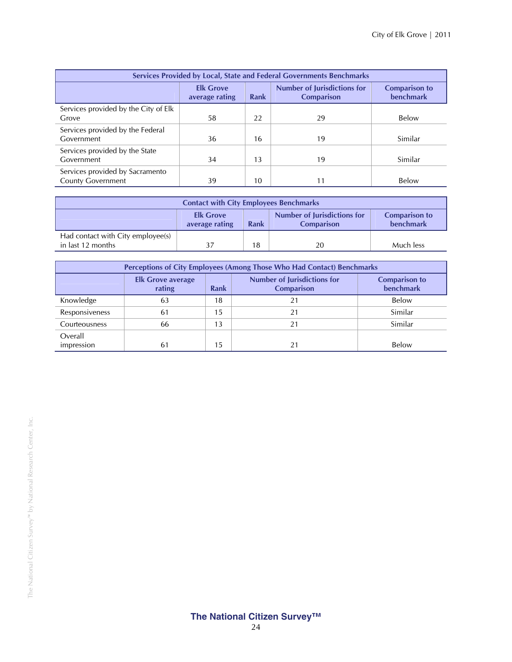| Services Provided by Local, State and Federal Governments Benchmarks |                                    |      |                                                         |                                          |  |  |
|----------------------------------------------------------------------|------------------------------------|------|---------------------------------------------------------|------------------------------------------|--|--|
|                                                                      | <b>Elk Grove</b><br>average rating | Rank | <b>Number of Jurisdictions for</b><br><b>Comparison</b> | <b>Comparison to</b><br><b>benchmark</b> |  |  |
| Services provided by the City of Elk<br>Grove                        | 58                                 | 22   | 29                                                      | Below                                    |  |  |
| Services provided by the Federal<br>Government                       | 36                                 | 16   | 19                                                      | Similar                                  |  |  |
| Services provided by the State<br>Government                         | 34                                 | 13   | 19                                                      | Similar                                  |  |  |
| Services provided by Sacramento<br><b>County Government</b>          | 39                                 | 10   | 11                                                      | Below                                    |  |  |

| <b>Contact with City Employees Benchmarks</b>          |                                                                                                                                            |    |    |           |  |  |
|--------------------------------------------------------|--------------------------------------------------------------------------------------------------------------------------------------------|----|----|-----------|--|--|
|                                                        | <b>Number of Jurisdictions for</b><br><b>Elk Grove</b><br><b>Comparison to</b><br>benchmark<br>Rank<br>average rating<br><b>Comparison</b> |    |    |           |  |  |
| Had contact with City employee(s)<br>in last 12 months |                                                                                                                                            | 18 | 20 | Much less |  |  |

| Perceptions of City Employees (Among Those Who Had Contact) Benchmarks |                                                                                                                                            |    |    |         |  |  |  |
|------------------------------------------------------------------------|--------------------------------------------------------------------------------------------------------------------------------------------|----|----|---------|--|--|--|
|                                                                        | <b>Number of Jurisdictions for</b><br><b>Comparison to</b><br><b>Elk Grove average</b><br>benchmark<br>rating<br>Rank<br><b>Comparison</b> |    |    |         |  |  |  |
| Knowledge                                                              | 63                                                                                                                                         | 18 |    | Below   |  |  |  |
| Responsiveness                                                         | 61                                                                                                                                         | 15 | 21 | Similar |  |  |  |
| Courteousness                                                          | 66                                                                                                                                         | 13 | 21 | Similar |  |  |  |
| Overall                                                                |                                                                                                                                            |    |    |         |  |  |  |
| impression                                                             | 61                                                                                                                                         | 15 |    | Below   |  |  |  |